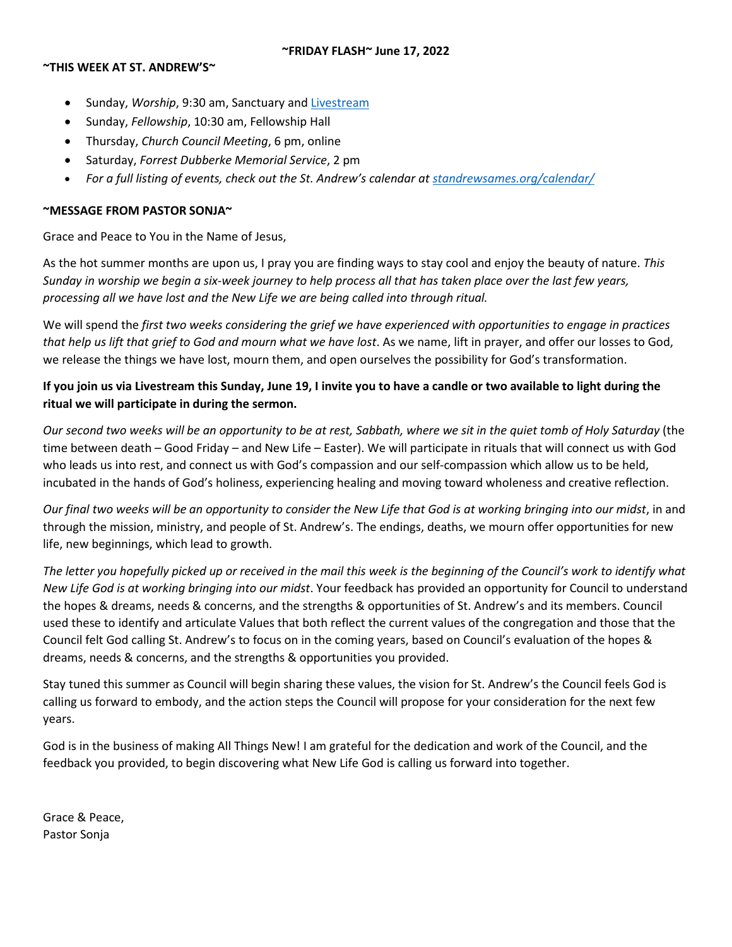## **~THIS WEEK AT ST. ANDREW'S~**

- Sunday, *Worship*, 9:30 am, Sanctuary and [Livestream](https://youtu.be/BYmFhYR_NlE)
- Sunday, *Fellowship*, 10:30 am, Fellowship Hall
- Thursday, *Church Council Meeting*, 6 pm, online
- Saturday, *Forrest Dubberke Memorial Service*, 2 pm
- *For a full listing of events, check out the St. Andrew's calendar at standrewsames.org/calendar/*

## **~MESSAGE FROM PASTOR SONJA~**

Grace and Peace to You in the Name of Jesus,

As the hot summer months are upon us, I pray you are finding ways to stay cool and enjoy the beauty of nature. *This Sunday in worship we begin a six-week journey to help process all that has taken place over the last few years, processing all we have lost and the New Life we are being called into through ritual.* 

We will spend the *first two weeks considering the grief we have experienced with opportunities to engage in practices that help us lift that grief to God and mourn what we have lost*. As we name, lift in prayer, and offer our losses to God, we release the things we have lost, mourn them, and open ourselves the possibility for God's transformation.

# **If you join us via Livestream this Sunday, June 19, I invite you to have a candle or two available to light during the ritual we will participate in during the sermon.**

*Our second two weeks will be an opportunity to be at rest, Sabbath, where we sit in the quiet tomb of Holy Saturday* (the time between death – Good Friday – and New Life – Easter). We will participate in rituals that will connect us with God who leads us into rest, and connect us with God's compassion and our self-compassion which allow us to be held, incubated in the hands of God's holiness, experiencing healing and moving toward wholeness and creative reflection.

*Our final two weeks will be an opportunity to consider the New Life that God is at working bringing into our midst*, in and through the mission, ministry, and people of St. Andrew's. The endings, deaths, we mourn offer opportunities for new life, new beginnings, which lead to growth.

*The letter you hopefully picked up or received in the mail this week is the beginning of the Council's work to identify what New Life God is at working bringing into our midst*. Your feedback has provided an opportunity for Council to understand the hopes & dreams, needs & concerns, and the strengths & opportunities of St. Andrew's and its members. Council used these to identify and articulate Values that both reflect the current values of the congregation and those that the Council felt God calling St. Andrew's to focus on in the coming years, based on Council's evaluation of the hopes & dreams, needs & concerns, and the strengths & opportunities you provided.

Stay tuned this summer as Council will begin sharing these values, the vision for St. Andrew's the Council feels God is calling us forward to embody, and the action steps the Council will propose for your consideration for the next few years.

God is in the business of making All Things New! I am grateful for the dedication and work of the Council, and the feedback you provided, to begin discovering what New Life God is calling us forward into together.

Grace & Peace, Pastor Sonja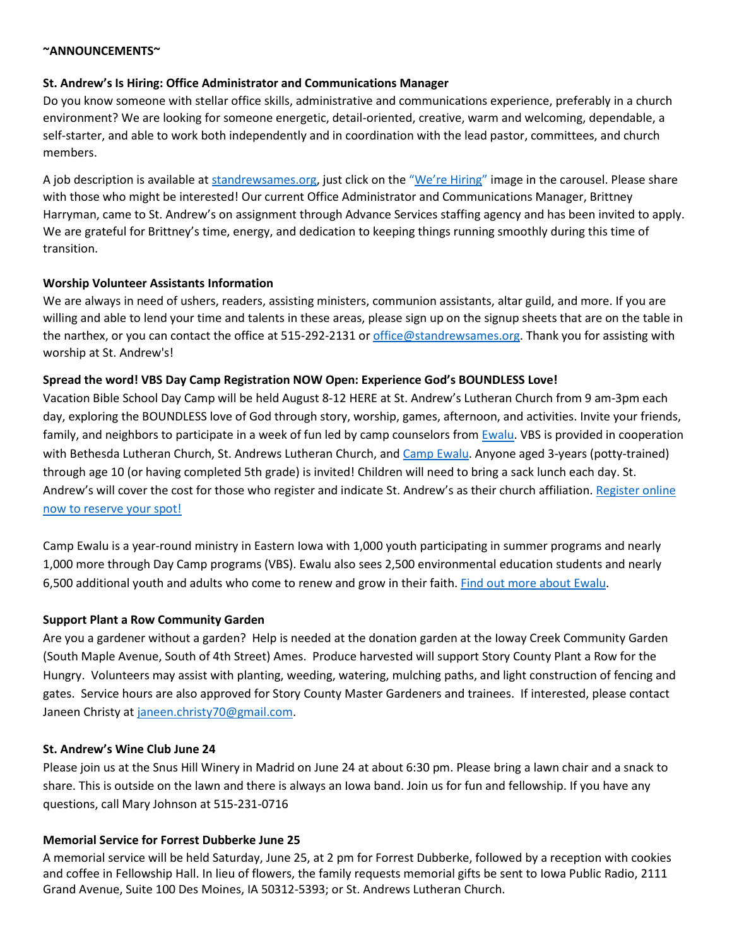### **~ANNOUNCEMENTS~**

## **St. Andrew's Is Hiring: Office Administrator and Communications Manager**

Do you know someone with stellar office skills, administrative and communications experience, preferably in a church environment? We are looking for someone energetic, detail-oriented, creative, warm and welcoming, dependable, a self-starter, and able to work both independently and in coordination with the lead pastor, committees, and church members.

A job description is available at standrewsames.org, just click on the ["We're Hiring"](https://standrewsames.org/wp-content/uploads/Office-Administrator-and-Communications-Manager-Job-Posting-202206.pdf) image in the carousel. Please share with those who might be interested! Our current Office Administrator and Communications Manager, Brittney Harryman, came to St. Andrew's on assignment through Advance Services staffing agency and has been invited to apply. We are grateful for Brittney's time, energy, and dedication to keeping things running smoothly during this time of transition.

## **Worship Volunteer Assistants Information**

We are always in need of ushers, readers, assisting ministers, communion assistants, altar guild, and more. If you are willing and able to lend your time and talents in these areas, please sign up on the signup sheets that are on the table in the narthex, or you can contact the office at 515-292-2131 or office@standrewsames.org. Thank you for assisting with worship at St. Andrew's!

## **Spread the word! VBS Day Camp Registration NOW Open: Experience God's BOUNDLESS Love!**

Vacation Bible School Day Camp will be held August 8-12 HERE at St. Andrew's Lutheran Church from 9 am-3pm each day, exploring the BOUNDLESS love of God through story, worship, games, afternoon, and activities. Invite your friends, family, and neighbors to participate in a week of fun led by camp counselors from [Ewalu.](https://ewalu.org/) VBS is provided in cooperation with Bethesda Lutheran Church, St. Andrews Lutheran Church, and [Camp Ewalu.](https://ewalu.org/) Anyone aged 3-years (potty-trained) through age 10 (or having completed 5th grade) is invited! Children will need to bring a sack lunch each day. St. Andrew's will cover the cost for those who register and indicate St. Andrew's as their church affiliation[. Register online](https://bethesdanet.shelbynextchms.com/external/form/82d0890e-b883-4316-92e0-a804087573c1)  [now to reserve your spot!](https://bethesdanet.shelbynextchms.com/external/form/82d0890e-b883-4316-92e0-a804087573c1)

Camp Ewalu is a year-round ministry in Eastern Iowa with 1,000 youth participating in summer programs and nearly 1,000 more through Day Camp programs (VBS). Ewalu also sees 2,500 environmental education students and nearly 6,500 additional youth and adults who come to renew and grow in their faith[. Find out more about Ewalu.](https://ewalu.org/)

## **Support Plant a Row Community Garden**

Are you a gardener without a garden? Help is needed at the donation garden at the Ioway Creek Community Garden (South Maple Avenue, South of 4th Street) Ames. Produce harvested will support Story County Plant a Row for the Hungry. Volunteers may assist with planting, weeding, watering, mulching paths, and light construction of fencing and gates. Service hours are also approved for Story County Master Gardeners and trainees. If interested, please contact Janeen Christy at [janeen.christy70@gmail.com.](mailto:janeen.christy70@gmail.com)

## **St. Andrew's Wine Club June 24**

Please join us at the Snus Hill Winery in Madrid on June 24 at about 6:30 pm. Please bring a lawn chair and a snack to share. This is outside on the lawn and there is always an Iowa band. Join us for fun and fellowship. If you have any questions, call Mary Johnson at 515-231-0716

# **Memorial Service for Forrest Dubberke June 25**

A memorial service will be held Saturday, June 25, at 2 pm for Forrest Dubberke, followed by a reception with cookies and coffee in Fellowship Hall. In lieu of flowers, the family requests memorial gifts be sent to Iowa Public Radio, 2111 Grand Avenue, Suite 100 Des Moines, IA 50312-5393; or St. Andrews Lutheran Church.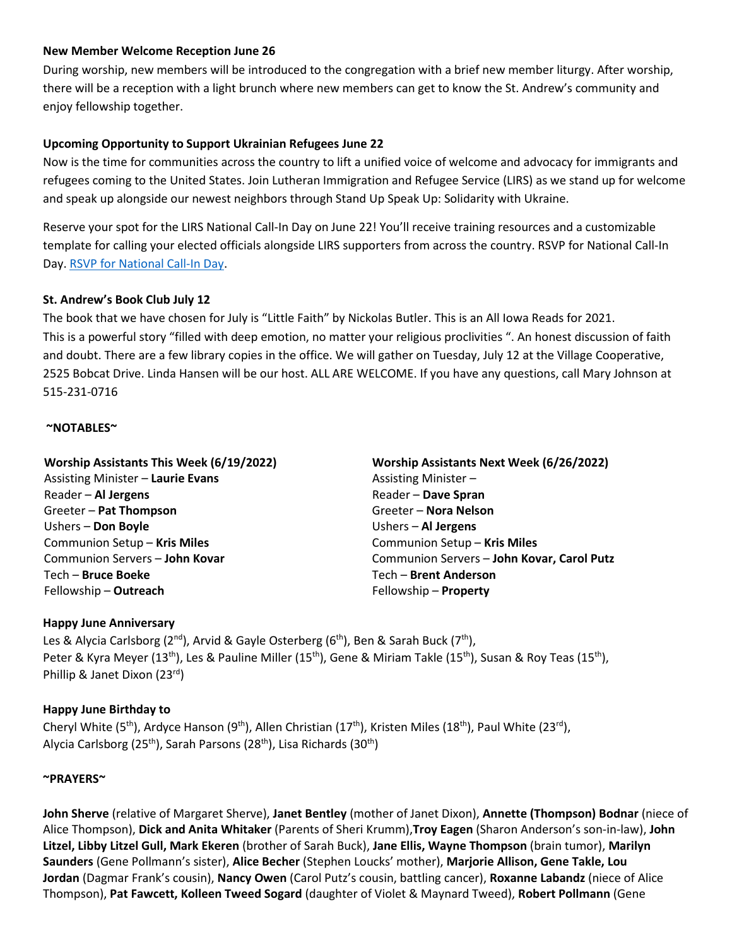## **New Member Welcome Reception June 26**

During worship, new members will be introduced to the congregation with a brief new member liturgy. After worship, there will be a reception with a light brunch where new members can get to know the St. Andrew's community and enjoy fellowship together.

## **Upcoming Opportunity to Support Ukrainian Refugees June 22**

Now is the time for communities across the country to lift a unified voice of welcome and advocacy for immigrants and refugees coming to the United States. Join Lutheran Immigration and Refugee Service (LIRS) as we stand up for welcome and speak up alongside our newest neighbors through Stand Up Speak Up: Solidarity with Ukraine. 

Reserve your spot for the LIRS National Call-In Day on June 22! You'll receive training resources and a customizable template for calling your elected officials alongside LIRS supporters from across the country. RSVP for National Call-In Day. [RSVP for National Call-In Day.](https://lirs.us14.list-manage.com/track/click?u=1ba26e3c84448d9ea4814c790&id=4b84418df8&e=5f039eefc1)

## **St. Andrew's Book Club July 12**

The book that we have chosen for July is "Little Faith" by Nickolas Butler. This is an All Iowa Reads for 2021. This is a powerful story "filled with deep emotion, no matter your religious proclivities ". An honest discussion of faith and doubt. There are a few library copies in the office. We will gather on Tuesday, July 12 at the Village Cooperative, 2525 Bobcat Drive. Linda Hansen will be our host. ALL ARE WELCOME. If you have any questions, call Mary Johnson at 515-231-0716

### **~NOTABLES~**

| Worship Assistants This Week (6/19/2022) | Worship Assistants Next Week (6/26/2022)   |
|------------------------------------------|--------------------------------------------|
| <b>Assisting Minister - Laurie Evans</b> | Assisting Minister-                        |
| Reader - Al Jergens                      | Reader - Dave Spran                        |
| Greeter - Pat Thompson                   | Greeter - Nora Nelson                      |
| Ushers - Don Boyle                       | Ushers - Al Jergens                        |
| Communion Setup - Kris Miles             | Communion Setup - Kris Miles               |
| Communion Servers - John Kovar           | Communion Servers - John Kovar, Carol Putz |
| Tech - Bruce Boeke                       | Tech - Brent Anderson                      |
| Fellowship - Outreach                    | Fellowship - Property                      |

#### **Happy June Anniversary**

Les & Alycia Carlsborg (2<sup>nd</sup>), Arvid & Gayle Osterberg (6<sup>th</sup>), Ben & Sarah Buck (7<sup>th</sup>), Peter & Kyra Meyer (13<sup>th</sup>), Les & Pauline Miller (15<sup>th</sup>), Gene & Miriam Takle (15<sup>th</sup>), Susan & Roy Teas (15<sup>th</sup>), Phillip & Janet Dixon (23rd)

## **Happy June Birthday to**

Cheryl White (5<sup>th</sup>), Ardyce Hanson (9<sup>th</sup>), Allen Christian (17<sup>th</sup>), Kristen Miles (18<sup>th</sup>), Paul White (23<sup>rd</sup>), Alycia Carlsborg (25<sup>th</sup>), Sarah Parsons (28<sup>th</sup>), Lisa Richards (30<sup>th</sup>)

#### **~PRAYERS~**

**John Sherve** (relative of Margaret Sherve), **Janet Bentley** (mother of Janet Dixon), **Annette (Thompson) Bodnar** (niece of Alice Thompson), **Dick and Anita Whitaker** (Parents of Sheri Krumm),**Troy Eagen** (Sharon Anderson's son-in-law), **John Litzel, Libby Litzel Gull, Mark Ekeren** (brother of Sarah Buck), **Jane Ellis, Wayne Thompson** (brain tumor), **Marilyn Saunders** (Gene Pollmann's sister), **Alice Becher** (Stephen Loucks' mother), **Marjorie Allison, Gene Takle, Lou Jordan** (Dagmar Frank's cousin), **Nancy Owen** (Carol Putz's cousin, battling cancer), **Roxanne Labandz** (niece of Alice Thompson), **Pat Fawcett, Kolleen Tweed Sogard** (daughter of Violet & Maynard Tweed), **Robert Pollmann** (Gene